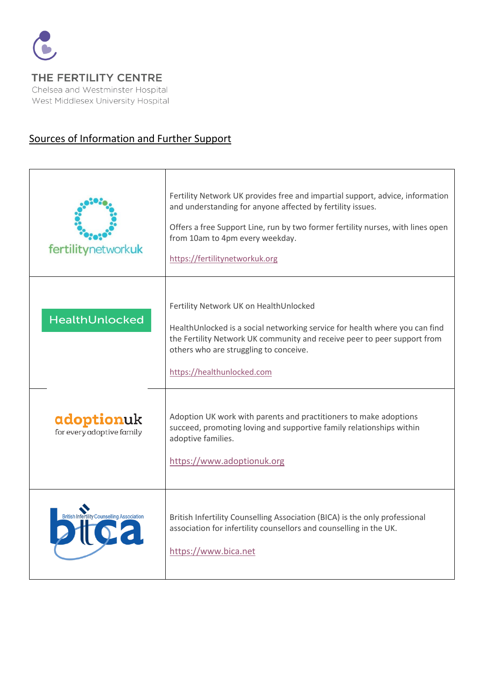

THE FERTILITY CENTRE Chelsea and Westminster Hospital West Middlesex University Hospital

## Sources of Information and Further Support

| fertilitynetworkuk                                 | Fertility Network UK provides free and impartial support, advice, information<br>and understanding for anyone affected by fertility issues.<br>Offers a free Support Line, run by two former fertility nurses, with lines open<br>from 10am to 4pm every weekday.<br>https://fertilitynetworkuk.org |
|----------------------------------------------------|-----------------------------------------------------------------------------------------------------------------------------------------------------------------------------------------------------------------------------------------------------------------------------------------------------|
| HealthUnlocked                                     | Fertility Network UK on HealthUnlocked<br>HealthUnlocked is a social networking service for health where you can find<br>the Fertility Network UK community and receive peer to peer support from<br>others who are struggling to conceive.<br>https://healthunlocked.com                           |
| adoptionuk<br>for every adoptive family            | Adoption UK work with parents and practitioners to make adoptions<br>succeed, promoting loving and supportive family relationships within<br>adoptive families.<br>https://www.adoptionuk.org                                                                                                       |
| <b>British Infertility Counselling Association</b> | British Infertility Counselling Association (BICA) is the only professional<br>association for infertility counsellors and counselling in the UK.<br>https://www.bica.net                                                                                                                           |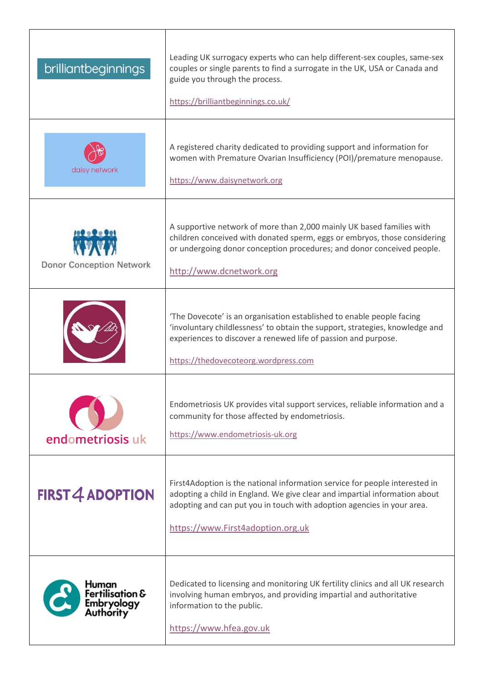| brilliantbeginnings                                 | Leading UK surrogacy experts who can help different-sex couples, same-sex<br>couples or single parents to find a surrogate in the UK, USA or Canada and<br>guide you through the process.<br>https://brilliantbeginnings.co.uk/                                          |
|-----------------------------------------------------|--------------------------------------------------------------------------------------------------------------------------------------------------------------------------------------------------------------------------------------------------------------------------|
| daisy network                                       | A registered charity dedicated to providing support and information for<br>women with Premature Ovarian Insufficiency (POI)/premature menopause.<br>https://www.daisynetwork.org                                                                                         |
| <b>Donor Conception Network</b>                     | A supportive network of more than 2,000 mainly UK based families with<br>children conceived with donated sperm, eggs or embryos, those considering<br>or undergoing donor conception procedures; and donor conceived people.<br>http://www.dcnetwork.org                 |
|                                                     | 'The Dovecote' is an organisation established to enable people facing<br>'involuntary childlessness' to obtain the support, strategies, knowledge and<br>experiences to discover a renewed life of passion and purpose.<br>https://thedovecoteorg.wordpress.com          |
| endometriosis uk                                    | Endometriosis UK provides vital support services, reliable information and a<br>community for those affected by endometriosis.<br>https://www.endometriosis-uk.org                                                                                                       |
| <b>FIRST 4 ADOPTION</b>                             | First4Adoption is the national information service for people interested in<br>adopting a child in England. We give clear and impartial information about<br>adopting and can put you in touch with adoption agencies in your area.<br>https://www.First4adoption.org.uk |
| Human<br>Fertilisation &<br>Embryology<br>Authority | Dedicated to licensing and monitoring UK fertility clinics and all UK research<br>involving human embryos, and providing impartial and authoritative<br>information to the public.<br>https://www.hfea.gov.uk                                                            |

 $\overline{\mathsf{I}}$